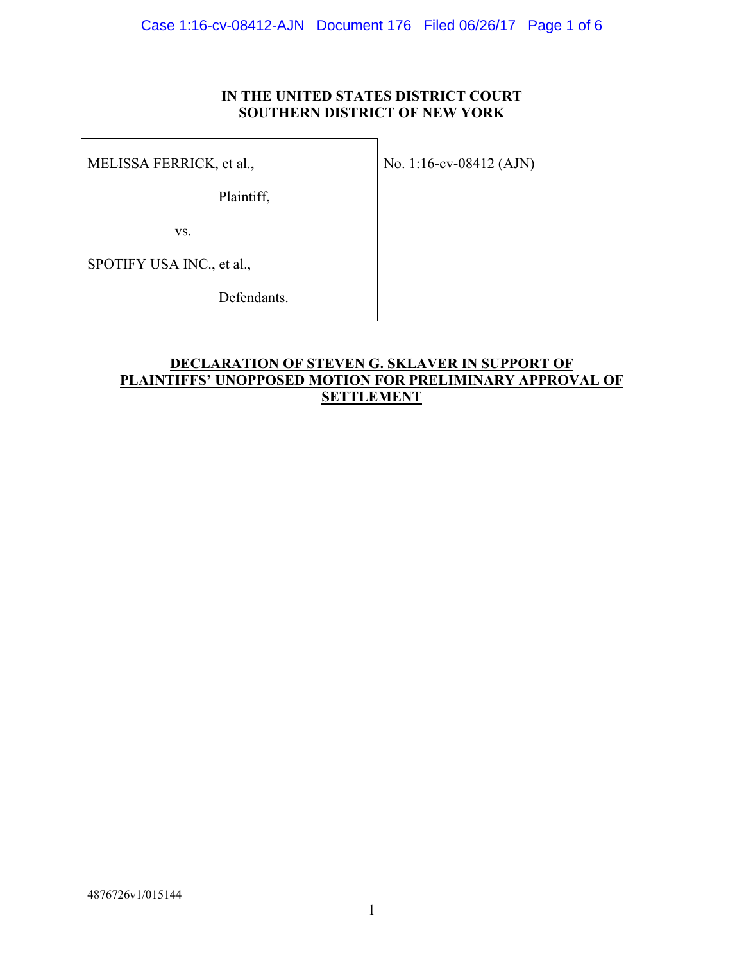## **IN THE UNITED STATES DISTRICT COURT SOUTHERN DISTRICT OF NEW YORK**

MELISSA FERRICK, et al.,

No. 1:16-cv-08412 (AJN)

Plaintiff,

vs.

SPOTIFY USA INC., et al.,

Defendants.

# **DECLARATION OF STEVEN G. SKLAVER IN SUPPORT OF PLAINTIFFS' UNOPPOSED MOTION FOR PRELIMINARY APPROVAL OF SETTLEMENT**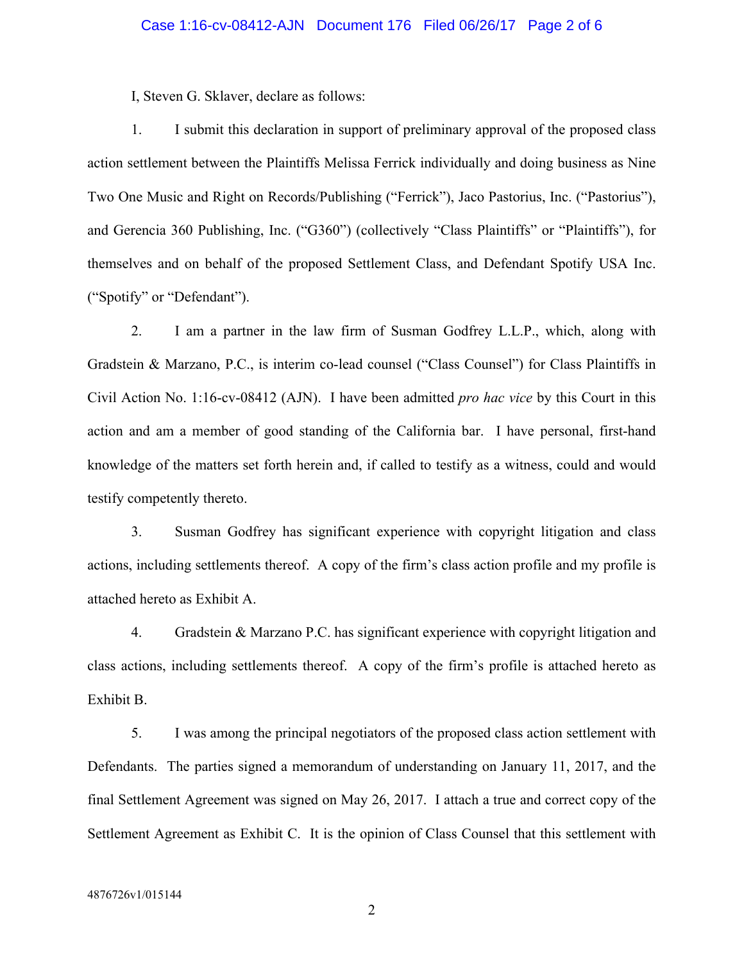I, Steven G. Sklaver, declare as follows:

1. I submit this declaration in support of preliminary approval of the proposed class action settlement between the Plaintiffs Melissa Ferrick individually and doing business as Nine Two One Music and Right on Records/Publishing ("Ferrick"), Jaco Pastorius, Inc. ("Pastorius"), and Gerencia 360 Publishing, Inc. ("G360") (collectively "Class Plaintiffs" or "Plaintiffs"), for themselves and on behalf of the proposed Settlement Class, and Defendant Spotify USA Inc. ("Spotify" or "Defendant").

2. I am a partner in the law firm of Susman Godfrey L.L.P., which, along with Gradstein & Marzano, P.C., is interim co-lead counsel ("Class Counsel") for Class Plaintiffs in Civil Action No. 1:16-cv-08412 (AJN). I have been admitted *pro hac vice* by this Court in this action and am a member of good standing of the California bar. I have personal, first-hand knowledge of the matters set forth herein and, if called to testify as a witness, could and would testify competently thereto.

3. Susman Godfrey has significant experience with copyright litigation and class actions, including settlements thereof. A copy of the firm's class action profile and my profile is attached hereto as Exhibit A.

4. Gradstein & Marzano P.C. has significant experience with copyright litigation and class actions, including settlements thereof. A copy of the firm's profile is attached hereto as Exhibit B.

5. I was among the principal negotiators of the proposed class action settlement with Defendants. The parties signed a memorandum of understanding on January 11, 2017, and the final Settlement Agreement was signed on May 26, 2017. I attach a true and correct copy of the Settlement Agreement as Exhibit C. It is the opinion of Class Counsel that this settlement with

2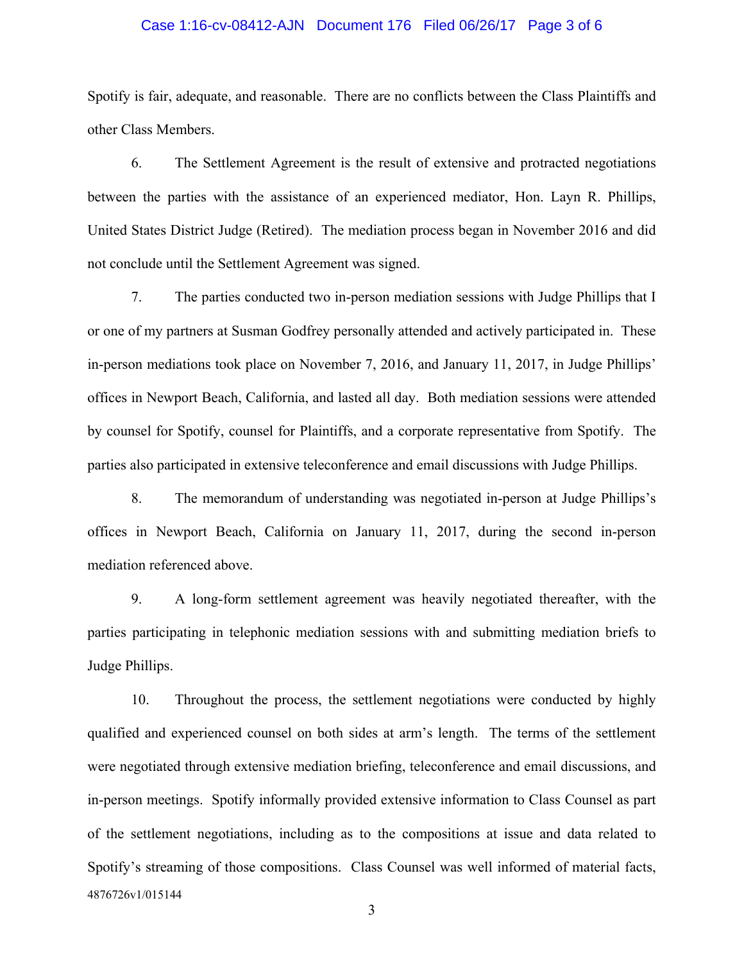### Case 1:16-cv-08412-AJN Document 176 Filed 06/26/17 Page 3 of 6

Spotify is fair, adequate, and reasonable. There are no conflicts between the Class Plaintiffs and other Class Members.

6. The Settlement Agreement is the result of extensive and protracted negotiations between the parties with the assistance of an experienced mediator, Hon. Layn R. Phillips, United States District Judge (Retired). The mediation process began in November 2016 and did not conclude until the Settlement Agreement was signed.

7. The parties conducted two in-person mediation sessions with Judge Phillips that I or one of my partners at Susman Godfrey personally attended and actively participated in. These in-person mediations took place on November 7, 2016, and January 11, 2017, in Judge Phillips' offices in Newport Beach, California, and lasted all day. Both mediation sessions were attended by counsel for Spotify, counsel for Plaintiffs, and a corporate representative from Spotify. The parties also participated in extensive teleconference and email discussions with Judge Phillips.

8. The memorandum of understanding was negotiated in-person at Judge Phillips's offices in Newport Beach, California on January 11, 2017, during the second in-person mediation referenced above.

9. A long-form settlement agreement was heavily negotiated thereafter, with the parties participating in telephonic mediation sessions with and submitting mediation briefs to Judge Phillips.

4876726v1/015144 10. Throughout the process, the settlement negotiations were conducted by highly qualified and experienced counsel on both sides at arm's length. The terms of the settlement were negotiated through extensive mediation briefing, teleconference and email discussions, and in-person meetings. Spotify informally provided extensive information to Class Counsel as part of the settlement negotiations, including as to the compositions at issue and data related to Spotify's streaming of those compositions. Class Counsel was well informed of material facts,

3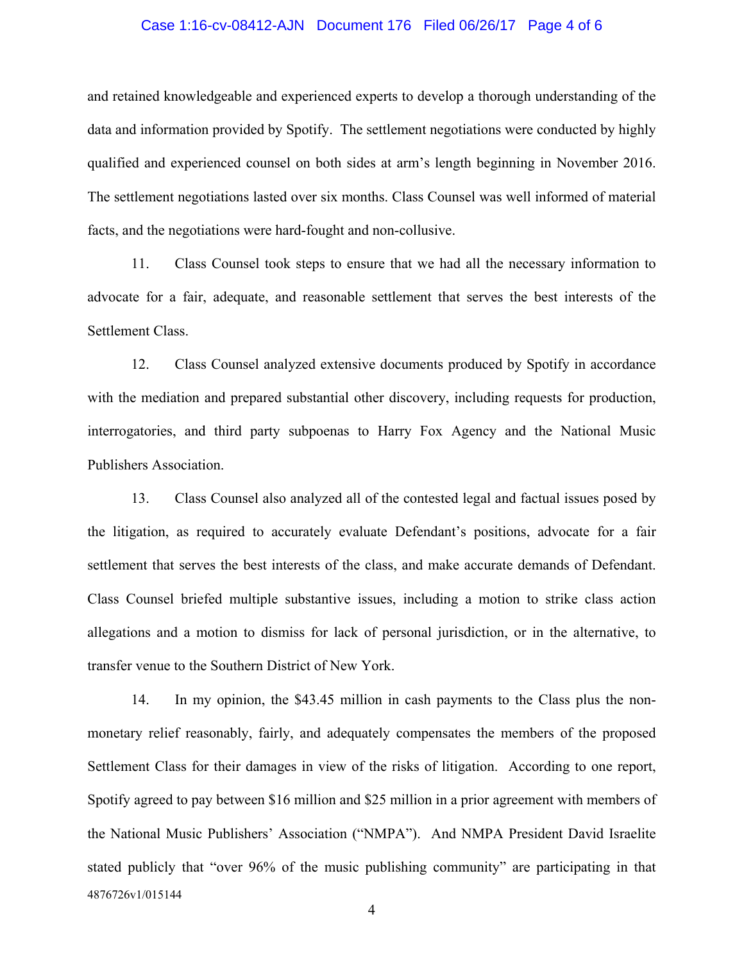### Case 1:16-cv-08412-AJN Document 176 Filed 06/26/17 Page 4 of 6

and retained knowledgeable and experienced experts to develop a thorough understanding of the data and information provided by Spotify. The settlement negotiations were conducted by highly qualified and experienced counsel on both sides at arm's length beginning in November 2016. The settlement negotiations lasted over six months. Class Counsel was well informed of material facts, and the negotiations were hard-fought and non-collusive.

11. Class Counsel took steps to ensure that we had all the necessary information to advocate for a fair, adequate, and reasonable settlement that serves the best interests of the Settlement Class.

12. Class Counsel analyzed extensive documents produced by Spotify in accordance with the mediation and prepared substantial other discovery, including requests for production, interrogatories, and third party subpoenas to Harry Fox Agency and the National Music Publishers Association.

13. Class Counsel also analyzed all of the contested legal and factual issues posed by the litigation, as required to accurately evaluate Defendant's positions, advocate for a fair settlement that serves the best interests of the class, and make accurate demands of Defendant. Class Counsel briefed multiple substantive issues, including a motion to strike class action allegations and a motion to dismiss for lack of personal jurisdiction, or in the alternative, to transfer venue to the Southern District of New York.

4876726v1/015144 14. In my opinion, the \$43.45 million in cash payments to the Class plus the nonmonetary relief reasonably, fairly, and adequately compensates the members of the proposed Settlement Class for their damages in view of the risks of litigation. According to one report, Spotify agreed to pay between \$16 million and \$25 million in a prior agreement with members of the National Music Publishers' Association ("NMPA"). And NMPA President David Israelite stated publicly that "over 96% of the music publishing community" are participating in that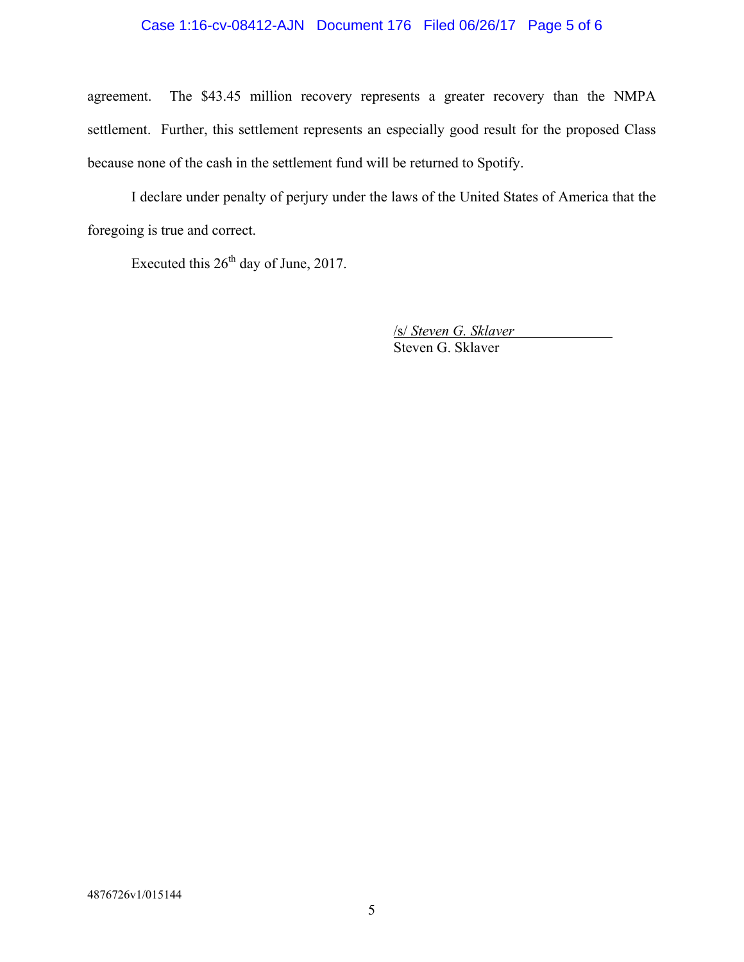## Case 1:16-cv-08412-AJN Document 176 Filed 06/26/17 Page 5 of 6

agreement. The \$43.45 million recovery represents a greater recovery than the NMPA settlement. Further, this settlement represents an especially good result for the proposed Class because none of the cash in the settlement fund will be returned to Spotify.

I declare under penalty of perjury under the laws of the United States of America that the foregoing is true and correct.

Executed this 26<sup>th</sup> day of June, 2017.

/s/ *Steven G. Sklaver* Steven G. Sklaver